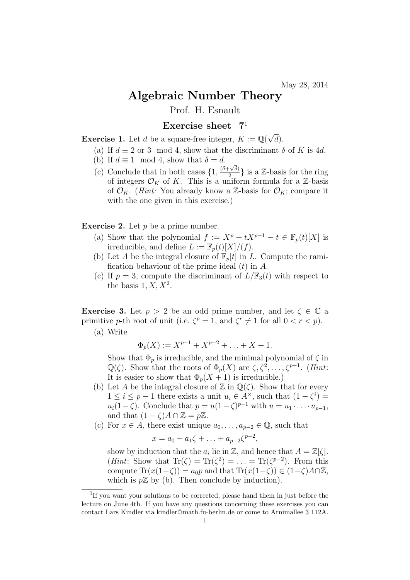## Algebraic Number Theory

Prof. H. Esnault

## Exercise sheet 7<sup>1</sup>

Exercise 1. Let *d* be a square-free integer,  $K := \mathbb{Q}(\sqrt{2})$  $(d).$ 

- (a) If  $d \equiv 2$  or 3 mod 4, show that the discriminant  $\delta$  of K is 4d.
- (b) If  $d \equiv 1 \mod 4$ , show that  $\delta = d$ .
- (c) Conclude that in both cases  $\{1, \frac{(\delta + \sqrt{\delta})}{2}\}$  $\{\frac{-\sqrt{\delta}}{2}\}$  is a Z-basis for the ring of integers  $\mathcal{O}_K$  of K. This is a uniform formula for a Z-basis of  $\mathcal{O}_K$ . (*Hint:* You already know a Z-basis for  $\mathcal{O}_K$ ; compare it with the one given in this exercise.)

## **Exercise 2.** Let  $p$  be a prime number.

- (a) Show that the polynomial  $f := X^p + tX^{p-1} t \in \mathbb{F}_p(t)[X]$  is irreducible, and define  $L := \mathbb{F}_p(t)[X]/(f)$ .
- (b) Let A be the integral closure of  $\mathbb{F}_p[t]$  in L. Compute the ramification behaviour of the prime ideal  $(t)$  in  $A$ .
- (c) If  $p = 3$ , compute the discriminant of  $L/\mathbb{F}_3(t)$  with respect to the basis  $1, X, X^2$ .

**Exercise 3.** Let  $p > 2$  be an odd prime number, and let  $\zeta \in \mathbb{C}$  a primitive *p*-th root of unit (i.e.  $\zeta^p = 1$ , and  $\zeta^r \neq 1$  for all  $0 < r < p$ ).

(a) Write

$$
\Phi_p(X) := X^{p-1} + X^{p-2} + \ldots + X + 1.
$$

Show that  $\Phi_p$  is irreducible, and the minimal polynomial of  $\zeta$  in  $\mathbb{Q}(\zeta)$ . Show that the roots of  $\Phi_p(X)$  are  $\zeta, \zeta^2, \ldots, \zeta^{p-1}$ . (*Hint*: It is easier to show that  $\Phi_p(X + 1)$  is irreducible.)

- (b) Let A be the integral closure of  $\mathbb Z$  in  $\mathbb Q(\zeta)$ . Show that for every  $1 \leq i \leq p-1$  there exists a unit  $u_i \in A^{\times}$ , such that  $(1 - \zeta^i) =$  $u_i(1-\zeta)$ . Conclude that  $p = u(1-\zeta)^{p-1}$  with  $u = u_1 \cdot \ldots \cdot u_{p-1}$ , and that  $(1 - \zeta)A \cap \mathbb{Z} = p\mathbb{Z}$ .
- (c) For  $x \in A$ , there exist unique  $a_0, \ldots, a_{n-2} \in \mathbb{Q}$ , such that

$$
x = a_0 + a_1 \zeta + \ldots + a_{p-2} \zeta^{p-2},
$$

show by induction that the  $a_i$  lie in  $\mathbb{Z}$ , and hence that  $A = \mathbb{Z}[\zeta]$ . (*Hint*: Show that  $\text{Tr}(\zeta) = \text{Tr}(\zeta^2) = \ldots = \text{Tr}(\zeta^{p-2})$ . From this compute  $\text{Tr}(x(1-\zeta)) = a_0p$  and that  $\text{Tr}(x(1-\zeta)) \in (1-\zeta)A\cap\mathbb{Z}$ . which is  $p\mathbb{Z}$  by (b). Then conclude by induction).

<sup>&</sup>lt;sup>1</sup>If you want your solutions to be corrected, please hand them in just before the lecture on June 4th. If you have any questions concerning these exercises you can contact Lars Kindler via kindler@math.fu-berlin.de or come to Arnimallee 3 112A.